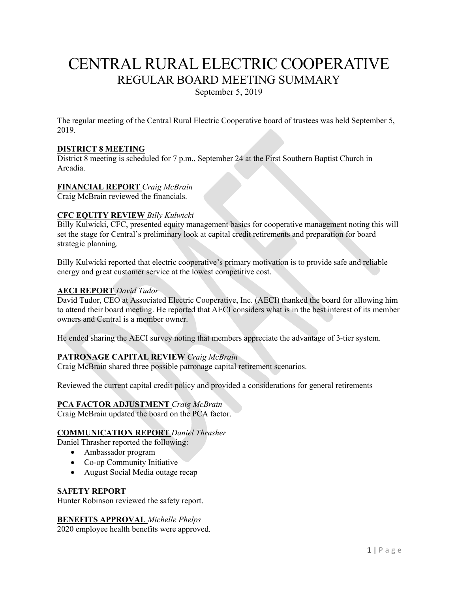# CENTRAL RURAL ELECTRIC COOPERATIVE REGULAR BOARD MEETING SUMMARY

September 5, 2019

The regular meeting of the Central Rural Electric Cooperative board of trustees was held September 5, 2019.

## **DISTRICT 8 MEETING**

District 8 meeting is scheduled for 7 p.m., September 24 at the First Southern Baptist Church in Arcadia.

## **FINANCIAL REPORT** *Craig McBrain*

Craig McBrain reviewed the financials.

## **CFC EQUITY REVIEW** *Billy Kulwicki*

Billy Kulwicki, CFC, presented equity management basics for cooperative management noting this will set the stage for Central's preliminary look at capital credit retirements and preparation for board strategic planning.

Billy Kulwicki reported that electric cooperative's primary motivation is to provide safe and reliable energy and great customer service at the lowest competitive cost.

## **AECI REPORT** *David Tudor*

David Tudor, CEO at Associated Electric Cooperative, Inc. (AECI) thanked the board for allowing him to attend their board meeting. He reported that AECI considers what is in the best interest of its member owners and Central is a member owner.

He ended sharing the AECI survey noting that members appreciate the advantage of 3-tier system.

# **PATRONAGE CAPITAL REVIEW** *Craig McBrain*

Craig McBrain shared three possible patronage capital retirement scenarios.

Reviewed the current capital credit policy and provided a considerations for general retirements

#### **PCA FACTOR ADJUSTMENT** *Craig McBrain*

Craig McBrain updated the board on the PCA factor.

#### **COMMUNICATION REPORT** *Daniel Thrasher*

Daniel Thrasher reported the following:

- Ambassador program
- Co-op Community Initiative
- August Social Media outage recap

#### **SAFETY REPORT**

Hunter Robinson reviewed the safety report.

**BENEFITS APPROVAL** *Michelle Phelps*

2020 employee health benefits were approved.